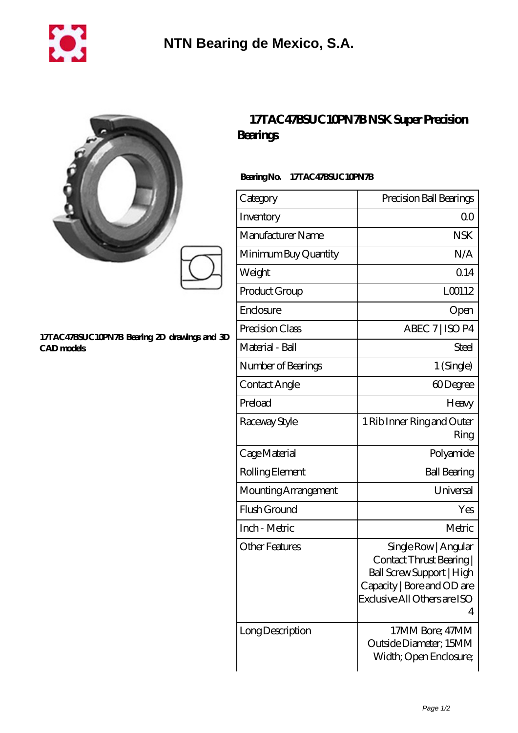

|                                                                   | Bearings                        | 17TAC47BSUC10PN7BNSK Super Precision                                                                                                             |
|-------------------------------------------------------------------|---------------------------------|--------------------------------------------------------------------------------------------------------------------------------------------------|
|                                                                   | BearingNo.<br>17TAC47BSUC10PN7B |                                                                                                                                                  |
|                                                                   | Category                        | Precision Ball Bearings                                                                                                                          |
|                                                                   | Inventory                       | 00                                                                                                                                               |
|                                                                   | Manufacturer Name               | <b>NSK</b>                                                                                                                                       |
|                                                                   | Minimum Buy Quantity            | N/A                                                                                                                                              |
|                                                                   | Weight                          | 0.14                                                                                                                                             |
|                                                                   | Product Group                   | LO0112                                                                                                                                           |
|                                                                   | Enclosure                       | Open                                                                                                                                             |
| 17TAC47BSUC10PN7B Bearing 2D drawings and 3D<br><b>CAD</b> models | Precision Class                 | ABEC 7   ISO P4                                                                                                                                  |
|                                                                   | Material - Ball                 | Steel                                                                                                                                            |
|                                                                   | Number of Bearings              | 1 (Single)                                                                                                                                       |
|                                                                   | Contact Angle                   | 60Degree                                                                                                                                         |
|                                                                   | Preload                         | Heavy                                                                                                                                            |
|                                                                   | Raceway Style                   | 1 Rib Inner Ring and Outer<br>Ring                                                                                                               |
|                                                                   | Cage Material                   | Polyamide                                                                                                                                        |
|                                                                   | Rolling Element                 | <b>Ball Bearing</b>                                                                                                                              |
|                                                                   | Mounting Arrangement            | Universal                                                                                                                                        |
|                                                                   | Flush Ground                    | Yes                                                                                                                                              |
|                                                                   | Inch - Metric                   | Metric                                                                                                                                           |
|                                                                   | <b>Other Features</b>           | Single Row   Angular<br>Contact Thrust Bearing  <br>Ball Screw Support   High<br>Capacity   Bore and OD are<br>Exclusive All Others are ISO<br>4 |
|                                                                   | Long Description                | 17MM Bore; 47MM<br>Outside Diameter; 15MM                                                                                                        |

Page 1/2

Width; Open Enclosure;